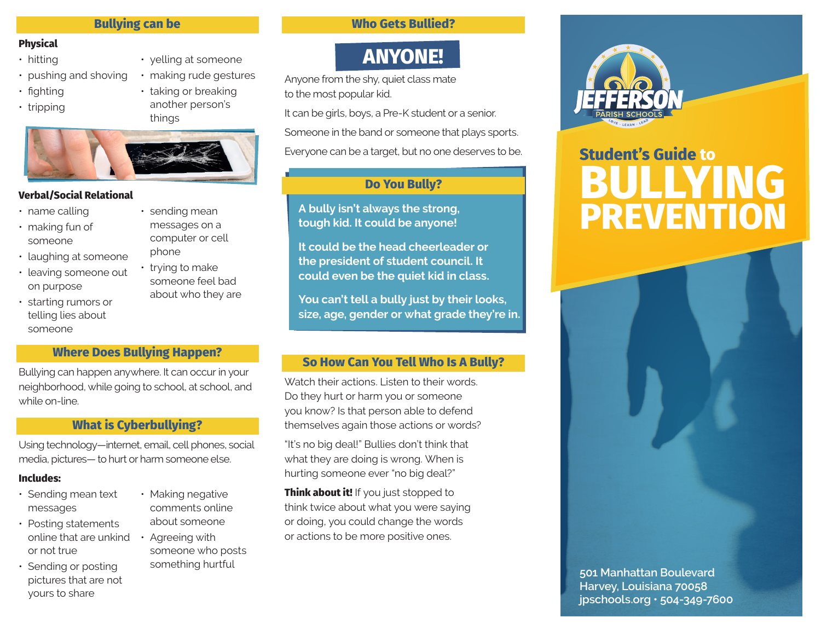## **Bullying can be**

### **Physical**

- hitting
- pushing and shoving
- fighting
- tripping

• yelling at someone • making rude gestures • taking or breaking another person's things



#### **Verbal/Social Relational**

- name calling
- making fun of someone
- laughing at someone
- leaving someone out on purpose
- starting rumors or telling lies about someone
- sending mean messages on a computer or cell phone
- trying to make someone feel bad about who they are
- **Where Does Bullying Happen?**

Bullying can happen anywhere. It can occur in your neighborhood, while going to school, at school, and while on-line.

### **What is Cyberbullying?**

Using technology—internet, email, cell phones, social media, pictures— to hurt or harm someone else.

### **Includes:**

- Sending mean text messages
- Posting statements online that are unkind • Agreeing with or not true
- Sending or posting pictures that are not yours to share
- Making negative comments online about someone
- someone who posts something hurtful

## **Who Gets Bullied?**

# **ANYONE!**

Anyone from the shy, quiet class mate to the most popular kid.

It can be girls, boys, a Pre-K student or a senior.

Someone in the band or someone that plays sports.

Everyone can be a target, but no one deserves to be.

# **Do You Bully?**

**A bully isn't always the strong, tough kid. It could be anyone!**

**It could be the head cheerleader or the president of student council. It could even be the quiet kid in class.**

**You can't tell a bully just by their looks, size, age, gender or what grade they're in.**

### **So How Can You Tell Who Is A Bully?**

Watch their actions. Listen to their words. Do they hurt or harm you or someone you know? Is that person able to defend themselves again those actions or words?

"It's no big deal!" Bullies don't think that what they are doing is wrong. When is hurting someone ever "no big deal?"

**Think about it!** If you just stopped to think twice about what you were saying or doing, you could change the words or actions to be more positive ones.



# **Student's Guide to BULLYING PREVENTION**



**Harvey, Louisiana 70058 jpschools.org • 504-349-7600**